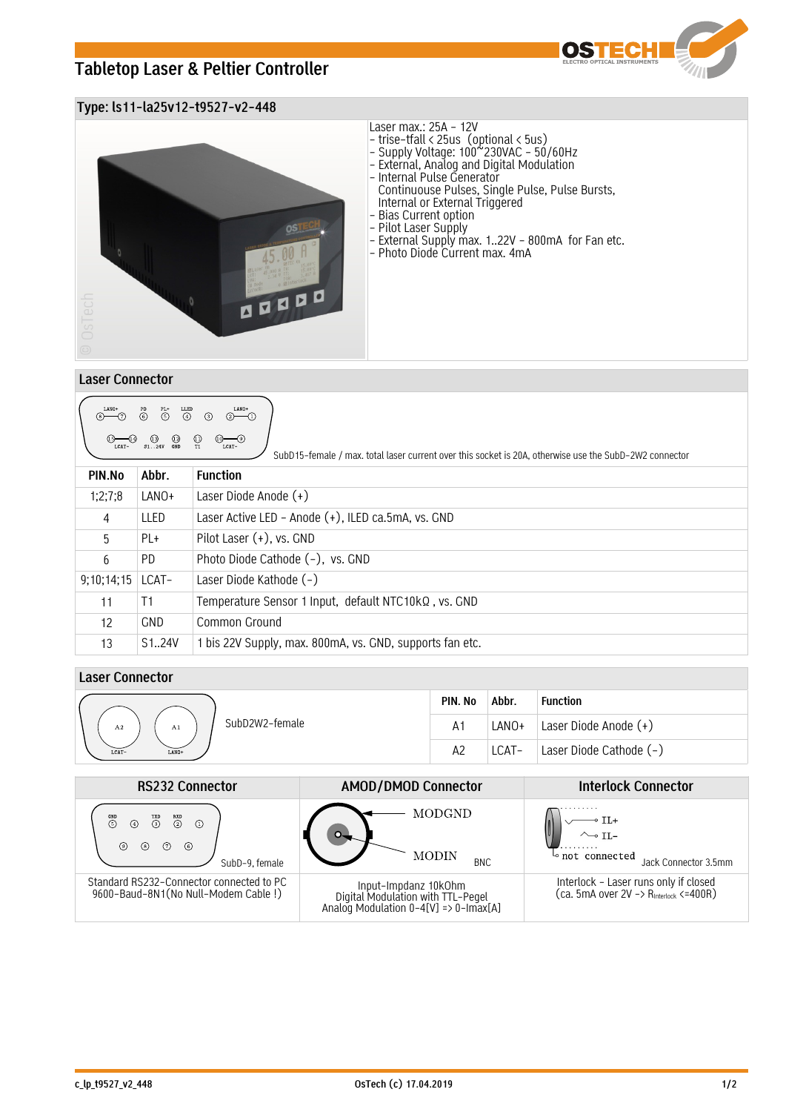# **Tabletop Laser & Peltier Controller**



### **Type: ls11-la25v12-t9527-v2-448**



| $\underset{\text{LCAT}-}{\bigcirc}$<br>$(13)$ $(12)$<br>S124V GND<br>SubD15-female / max, total laser current over this socket is 20A, otherwise use the SubD-2W2 connector |                     |                                                          |  |  |  |  |
|-----------------------------------------------------------------------------------------------------------------------------------------------------------------------------|---------------------|----------------------------------------------------------|--|--|--|--|
| PIN.No                                                                                                                                                                      | Abbr.               | <b>Function</b>                                          |  |  |  |  |
| 1:2:7:8                                                                                                                                                                     | LANO+               | Laser Diode Anode $(+)$                                  |  |  |  |  |
| 4                                                                                                                                                                           | LLED                | Laser Active LED - Anode (+), ILED ca.5mA, vs. GND       |  |  |  |  |
| 5                                                                                                                                                                           | PL+                 | Pilot Laser (+), vs. GND                                 |  |  |  |  |
| 6                                                                                                                                                                           | PD.                 | Photo Diode Cathode (-), vs. GND                         |  |  |  |  |
| 9:10:14:15                                                                                                                                                                  | LCAT-               | Laser Diode Kathode $(-)$                                |  |  |  |  |
| 11                                                                                                                                                                          | T1                  | Temperature Sensor 1 Input, default NTC10kQ, vs. GND     |  |  |  |  |
| 12                                                                                                                                                                          | <b>GND</b>          | Common Ground                                            |  |  |  |  |
| 13                                                                                                                                                                          | S <sub>1</sub> .24V | 1 bis 22V Supply, max. 800mA, vs. GND, supports fan etc. |  |  |  |  |

## **Laser Connector**

|                                        | PIN. No        | Abbr. | <b>Function</b>         |
|----------------------------------------|----------------|-------|-------------------------|
| SubD2W2-female<br>A2<br>A <sub>1</sub> | $A^1$          | LANO+ | Laser Diode Anode (+)   |
| LCAT-<br>LANO+                         | A <sup>2</sup> | LCAT- | Laser Diode Cathode (-) |

| <b>RS232 Connector</b>                                                                                                  | <b>AMOD/DMOD Connector</b>                                                                         | <b>Interlock Connector</b>                                                                  |  |
|-------------------------------------------------------------------------------------------------------------------------|----------------------------------------------------------------------------------------------------|---------------------------------------------------------------------------------------------|--|
| $\overset{\text{GND}}{5}$<br>$\overline{c}$<br>$\frac{TND}{(3)}$<br>$\circ$<br>⊚<br>(s)<br>(7)<br>(6)<br>SubD-9. female | MODGND<br><b>MODIN</b><br><b>BNC</b>                                                               | $\sim$ TL-<br>$\sim$ not connected<br>Jack Connector 3.5mm                                  |  |
| Standard RS232-Connector connected to PC<br>9600-Baud-8N1(No Null-Modem Cable!)                                         | Input-Impdanz 10k0hm<br>Digital Modulation with TTL-Pegel<br>Analog Modulation 0-4[V] => 0-Imax[A] | Interlock - Laser runs only if closed<br>(ca. 5mA over 2V -> R <sub>interlock</sub> <=400R) |  |